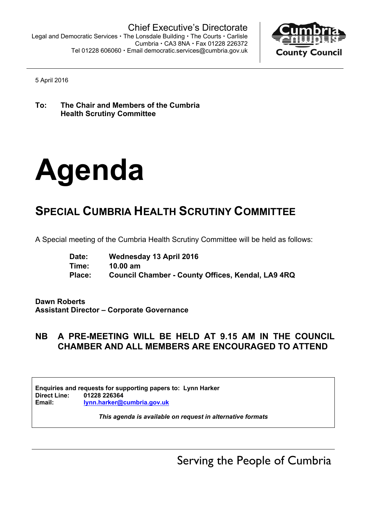

5 April 2016

**To: The Chair and Members of the Cumbria Health Scrutiny Committee**

# **Agenda**

# **SPECIAL CUMBRIA HEALTH SCRUTINY COMMITTEE**

A Special meeting of the Cumbria Health Scrutiny Committee will be held as follows:

| Date:  | Wednesday 13 April 2016                           |
|--------|---------------------------------------------------|
| Time:  | $10.00 \text{ am}$                                |
| Place: | Council Chamber - County Offices, Kendal, LA9 4RQ |

**Dawn Roberts Assistant Director – Corporate Governance**

## **NB A PRE-MEETING WILL BE HELD AT 9.15 AM IN THE COUNCIL CHAMBER AND ALL MEMBERS ARE ENCOURAGED TO ATTEND**

**Enquiries and requests for supporting papers to: Lynn Harker Direct Line: 01228 226364 Email: lynn.harker@cumbria.gov.uk**

*This agenda is available on request in alternative formats*

Serving the People of Cumbria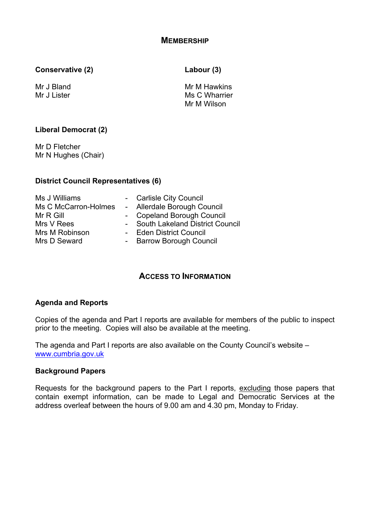**Conservative (2) Labour (3)**

Mr J Bland Mr J Lister

Mr M Hawkins Ms C Wharrier Mr M Wilson

#### **Liberal Democrat (2)**

Mr D Fletcher Mr N Hughes (Chair)

#### **District Council Representatives (6)**

| Ms J Williams        | - Carlisle City Council           |
|----------------------|-----------------------------------|
| Ms C McCarron-Holmes | - Allerdale Borough Council       |
| Mr R Gill            | - Copeland Borough Council        |
| Mrs V Rees           | - South Lakeland District Council |
| Mrs M Robinson       | - Eden District Council           |
| Mrs D Seward         | - Barrow Borough Council          |

### **ACCESS TO INFORMATION**

#### **Agenda and Reports**

Copies of the agenda and Part I reports are available for members of the public to inspect prior to the meeting. Copies will also be available at the meeting.

The agenda and Part I reports are also available on the County Council's website – [www.cumbria.gov.uk](http://www.cumbria.gov.uk/)

#### **Background Papers**

Requests for the background papers to the Part I reports, excluding those papers that contain exempt information, can be made to Legal and Democratic Services at the address overleaf between the hours of 9.00 am and 4.30 pm, Monday to Friday.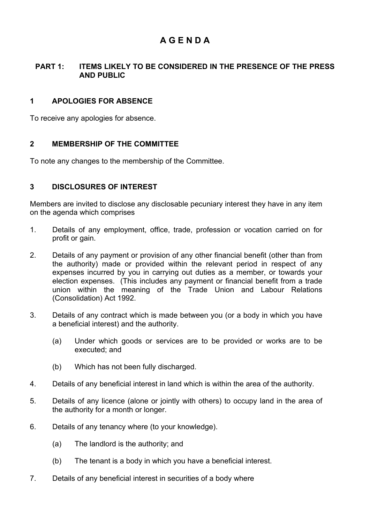# **A G E N D A**

#### **PART 1: ITEMS LIKELY TO BE CONSIDERED IN THE PRESENCE OF THE PRESS AND PUBLIC**

#### **1 APOLOGIES FOR ABSENCE**

To receive any apologies for absence.

#### **2 MEMBERSHIP OF THE COMMITTEE**

To note any changes to the membership of the Committee.

#### **3 DISCLOSURES OF INTEREST**

Members are invited to disclose any disclosable pecuniary interest they have in any item on the agenda which comprises

- 1. Details of any employment, office, trade, profession or vocation carried on for profit or gain.
- 2. Details of any payment or provision of any other financial benefit (other than from the authority) made or provided within the relevant period in respect of any expenses incurred by you in carrying out duties as a member, or towards your election expenses. (This includes any payment or financial benefit from a trade union within the meaning of the Trade Union and Labour Relations (Consolidation) Act 1992.
- 3. Details of any contract which is made between you (or a body in which you have a beneficial interest) and the authority.
	- (a) Under which goods or services are to be provided or works are to be executed; and
	- (b) Which has not been fully discharged.
- 4. Details of any beneficial interest in land which is within the area of the authority.
- 5. Details of any licence (alone or jointly with others) to occupy land in the area of the authority for a month or longer.
- 6. Details of any tenancy where (to your knowledge).
	- (a) The landlord is the authority; and
	- (b) The tenant is a body in which you have a beneficial interest.
- 7. Details of any beneficial interest in securities of a body where